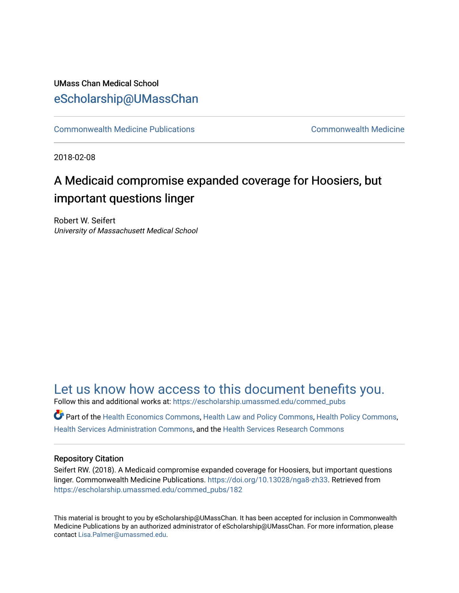#### UMass Chan Medical School [eScholarship@UMassChan](https://escholarship.umassmed.edu/)

[Commonwealth Medicine Publications](https://escholarship.umassmed.edu/commed_pubs) [Commonwealth Medicine](https://escholarship.umassmed.edu/commed) 

2018-02-08

## A Medicaid compromise expanded coverage for Hoosiers, but important questions linger

Robert W. Seifert University of Massachusett Medical School

### [Let us know how access to this document benefits you.](https://arcsapps.umassmed.edu/redcap/surveys/?s=XWRHNF9EJE)

Follow this and additional works at: [https://escholarship.umassmed.edu/commed\\_pubs](https://escholarship.umassmed.edu/commed_pubs?utm_source=escholarship.umassmed.edu%2Fcommed_pubs%2F182&utm_medium=PDF&utm_campaign=PDFCoverPages)

Part of the [Health Economics Commons,](http://network.bepress.com/hgg/discipline/1085?utm_source=escholarship.umassmed.edu%2Fcommed_pubs%2F182&utm_medium=PDF&utm_campaign=PDFCoverPages) [Health Law and Policy Commons,](http://network.bepress.com/hgg/discipline/901?utm_source=escholarship.umassmed.edu%2Fcommed_pubs%2F182&utm_medium=PDF&utm_campaign=PDFCoverPages) [Health Policy Commons](http://network.bepress.com/hgg/discipline/395?utm_source=escholarship.umassmed.edu%2Fcommed_pubs%2F182&utm_medium=PDF&utm_campaign=PDFCoverPages), [Health Services Administration Commons,](http://network.bepress.com/hgg/discipline/747?utm_source=escholarship.umassmed.edu%2Fcommed_pubs%2F182&utm_medium=PDF&utm_campaign=PDFCoverPages) and the [Health Services Research Commons](http://network.bepress.com/hgg/discipline/816?utm_source=escholarship.umassmed.edu%2Fcommed_pubs%2F182&utm_medium=PDF&utm_campaign=PDFCoverPages)

#### Repository Citation

Seifert RW. (2018). A Medicaid compromise expanded coverage for Hoosiers, but important questions linger. Commonwealth Medicine Publications.<https://doi.org/10.13028/nga8-zh33>. Retrieved from [https://escholarship.umassmed.edu/commed\\_pubs/182](https://escholarship.umassmed.edu/commed_pubs/182?utm_source=escholarship.umassmed.edu%2Fcommed_pubs%2F182&utm_medium=PDF&utm_campaign=PDFCoverPages) 

This material is brought to you by eScholarship@UMassChan. It has been accepted for inclusion in Commonwealth Medicine Publications by an authorized administrator of eScholarship@UMassChan. For more information, please contact [Lisa.Palmer@umassmed.edu.](mailto:Lisa.Palmer@umassmed.edu)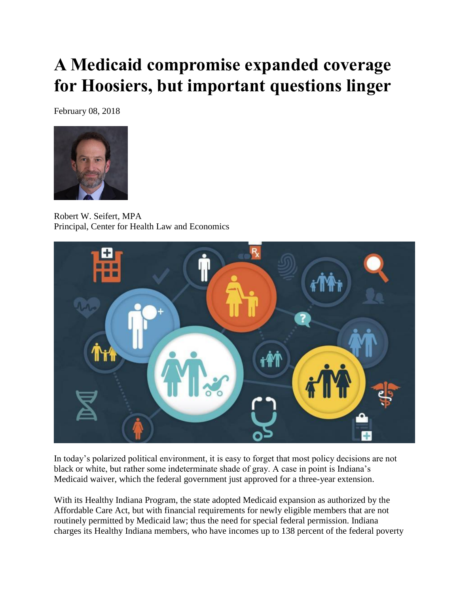# **A Medicaid compromise expanded coverage for Hoosiers, but important questions linger**

February 08, 2018



Robert W. Seifert, MPA Principal, Center for Health Law and Economics



In today's polarized political environment, it is easy to forget that most policy decisions are not black or white, but rather some indeterminate shade of gray. A case in point is Indiana's Medicaid waiver, which the federal government just approved for a three-year extension.

With its Healthy Indiana Program, the state adopted Medicaid expansion as authorized by the Affordable Care Act, but with financial requirements for newly eligible members that are not routinely permitted by Medicaid law; thus the need for special federal permission. Indiana charges its Healthy Indiana members, who have incomes up to 138 percent of the federal poverty